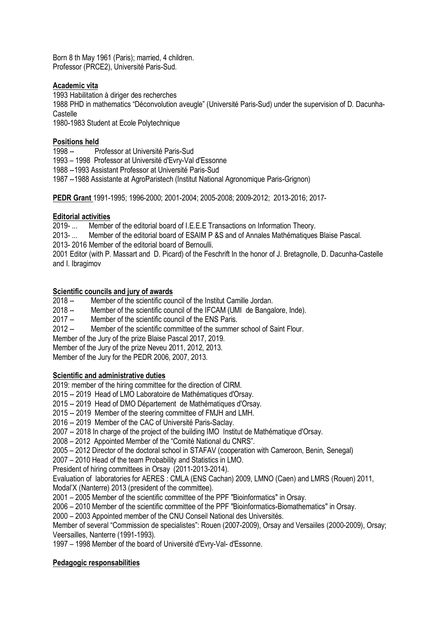Born 8 th May 1961 (Paris); married, 4 children. Professor (PRCE2), Université Paris-Sud.

## **Academic vita**

1993 Habilitation à diriger des recherches 1988 PHD in mathematics "Déconvolution aveugle" (Université Paris-Sud) under the supervision of D. Dacunha-**Castelle** 

1980-1983 Student at Ecole Polytechnique

# **Positions held**<br>1998 -- P

Professor at Université Paris-Sud

1993 – 1998 Professor at Université d'Evry-Val d'Essonne

1988 --1993 Assistant Professor at Université Paris-Sud

1987 --1988 Assistante at AgroParistech (Institut National Agronomique Paris-Grignon)

**PEDR Grant** 1991-1995; 1996-2000; 2001-2004; 2005-2008; 2009-2012; 2013-2016; 2017-

# **Editorial activities**

2019- ... Member of the editorial board of I.E.E.E Transactions on Information Theory.

2013- ... Member of the editorial board of ESAIM P &S and of Annales Mathématiques Blaise Pascal.

2013- 2016 Member of the editorial board of Bernoulli.

2001 Editor (with P. Massart and D. Picard) of the Feschrift In the honor of J. Bretagnolle, D. Dacunha-Castelle and I. Ibragimov

## **Scientific councils and jury of awards**

2018 -- Member of the scientific council of the Institut Camille Jordan.

2018 -- Member of the scientific council of the IFCAM (UMI de Bangalore, Inde).

2017 -- Member of the scientific council of the ENS Paris.

2012 -- Member of the scientific committee of the summer school of Saint Flour.

Member of the Jury of the prize Blaise Pascal 2017, 2019.

Member of the Jury of the prize Neveu 2011, 2012, 2013.

Member of the Jury for the PEDR 2006, 2007, 2013.

# **Scientific and administrative duties**

2019: member of the hiring committee for the direction of CIRM.

2015 -- 2019 Head of LMO Laboratoire de Mathématiques d'Orsay.

2015 -- 2019 Head of DMO Département de Mathématiques d'Orsay.

2015 -- 2019 Member of the steering committee of FMJH and LMH.

2016 -- 2019 Member of the CAC of Université Paris-Saclay.

2007 -- 2018 In charge of the project of the building IMO Institut de Mathématique d'Orsay.

2008 – 2012 Appointed Member of the "Comité National du CNRS".

2005 – 2012 Director of the doctoral school in STAFAV (cooperation with Cameroon, Benin, Senegal)

2007 – 2010 Head of the team Probability and Statistics in LMO.

President of hiring committees in Orsay (2011-2013-2014).

Evaluation of laboratories for AERES : CMLA (ENS Cachan) 2009, LMNO (Caen) and LMRS (Rouen) 2011,

Modal'X (Nanterre) 2013 (president of the committee).

2001 – 2005 Member of the scientific committee of the PPF "Bioinformatics" in Orsay.

2006 – 2010 Member of the scientific committee of the PPF "Bioinformatics-Biomathematics" in Orsay.

2000 – 2003 Appointed member of the CNU Conseil National des Universités.

Member of several "Commission de specialistes": Rouen (2007-2009), Orsay and Versaiiles (2000-2009), Orsay; Veersailles, Nanterre (1991-1993).

1997 – 1998 Member of the board of Université d'Evry-Val- d'Essonne.

# **Pedagogic responsabilities**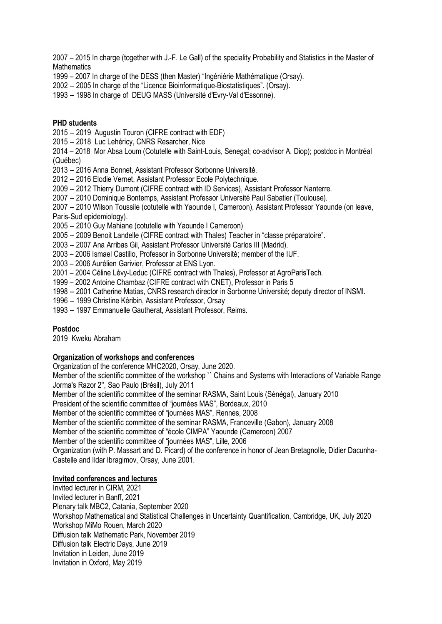2007 – 2015 In charge (together with J.-F. Le Gall) of the speciality Probability and Statistics in the Master of **Mathematics** 

- 1999 2007 In charge of the DESS (then Master) "Ingéniérie Mathématique (Orsay).
- 2002 -- 2005 In charge of the "Licence Bioinformatique-Biostatistiques". (Orsay).
- 1993 -- 1998 In charge of DEUG MASS (Université d'Evry-Val d'Essonne).

#### **PHD students**

2015 -- 2019 Augustin Touron (CIFRE contract with EDF)

2015 -- 2018 Luc Lehéricy, CNRS Resarcher, Nice

2014 – 2018 Mor Absa Loum (Cotutelle with Saint-Louis, Senegal; co-advisor A. Diop); postdoc in Montréal (Québec)

- 2013 -- 2016 Anna Bonnet, Assistant Professor Sorbonne Université.
- 2012 -- 2016 Elodie Vernet, Assistant Professor Ecole Polytechnique.
- 2009 -- 2012 Thierry Dumont (CIFRE contract with ID Services), Assistant Professor Nanterre.
- 2007 -- 2010 Dominique Bontemps, Assistant Professor Université Paul Sabatier (Toulouse).

2007 -- 2010 Wilson Toussile (cotutelle with Yaounde I, Cameroon), Assistant Professor Yaounde (on leave, Paris-Sud epidemiology).

- 2005 -- 2010 Guy Mahiane (cotutelle with Yaounde I Cameroon)
- 2005 -- 2009 Benoit Landelle (CIFRE contract with Thales) Teacher in "classe préparatoire".
- 2003 -- 2007 Ana Arribas Gil, Assistant Professor Université Carlos III (Madrid).
- 2003 2006 Ismael Castillo, Professor in Sorbonne Université; member of the IUF.
- 2003 2006 Aurélien Garivier, Professor at ENS Lyon.
- 2001 2004 Céline Lévy-Leduc (CIFRE contract with Thales), Professor at AgroParisTech.
- 1999 2002 Antoine Chambaz (CIFRE contract with CNET), Professor in Paris 5
- 1998 -- 2001 Catherine Matias, CNRS research director in Sorbonne Université; deputy director of INSMI.
- 1996 -- 1999 Christine Kéribin, Assistant Professor, Orsay
- 1993 -- 1997 Emmanuelle Gautherat, Assistant Professor, Reims.

#### **Postdoc**

2019 Kweku Abraham

## **Organization of workshops and conferences**

Organization of the conference MHC2020, Orsay, June 2020.

Member of the scientific committee of the workshop "Chains and Systems with Interactions of Variable Range Jorma's Razor 2'', Sao Paulo (Brésil), July 2011

Member of the scientific committee of the seminar RASMA, Saint Louis (Sénégal), January 2010

President of the scientific committee of "journées MAS", Bordeaux, 2010

Member of the scientific committee of "journées MAS", Rennes, 2008

Member of the scientific committee of the seminar RASMA, Franceville (Gabon), January 2008

Member of the scientific committee of "école CIMPA" Yaounde (Cameroon) 2007

Member of the scientific committee of "journées MAS", Lille, 2006

Organization (with P. Massart and D. Picard) of the conference in honor of Jean Bretagnolle, Didier Dacunha-Castelle and Ildar Ibragimov, Orsay, June 2001.

#### **Invited conferences and lectures**

Invited lecturer in CIRM, 2021 Invited lecturer in Banff, 2021 Plenary talk MBC2, Catania, September 2020 Workshop Mathematical and Statistical Challenges in Uncertainty Quantification, Cambridge, UK, July 2020 Workshop MiMo Rouen, March 2020 Diffusion talk Mathematic Park, November 2019 Diffusion talk Electric Days, June 2019 Invitation in Leiden, June 2019 Invitation in Oxford, May 2019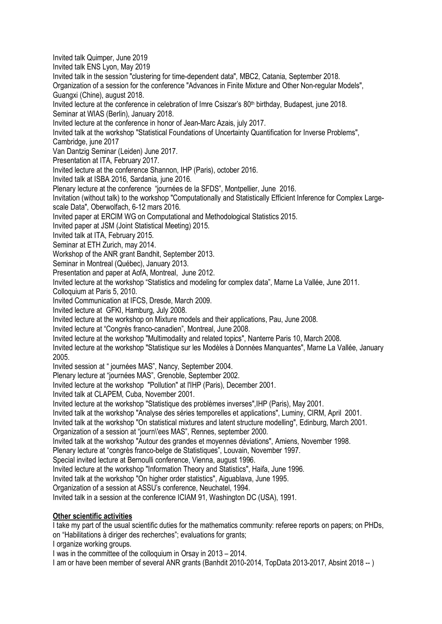Invited talk Quimper, June 2019 Invited talk ENS Lyon, May 2019 Invited talk in the session "clustering for time-dependent data", MBC2, Catania, September 2018. Organization of a session for the conference "Advances in Finite Mixture and Other Non-regular Models", Guangxi (Chine), august 2018. Invited lecture at the conference in celebration of Imre Csiszar's 80<sup>th</sup> birthday, Budapest, june 2018. Seminar at WIAS (Berlin), January 2018. Invited lecture at the conference in honor of Jean-Marc Azais, july 2017. Invited talk at the workshop "Statistical Foundations of Uncertainty Quantification for Inverse Problems", Cambridge, june 2017 Van Dantzig Seminar (Leiden) June 2017. Presentation at ITA, February 2017. Invited lecture at the conference Shannon, IHP (Paris), october 2016. Invited talk at ISBA 2016, Sardania, june 2016. Plenary lecture at the conference "journées de la SFDS", Montpellier, June 2016. Invitation (without talk) to the workshop "Computationally and Statistically Efficient Inference for Complex Largescale Data", Oberwolfach, 6-12 mars 2016. Invited paper at ERCIM WG on Computational and Methodological Statistics 2015. Invited paper at JSM (Joint Statistical Meeting) 2015. Invited talk at ITA, February 2015. Seminar at ETH Zurich, may 2014. Workshop of the ANR grant Bandhit, September 2013. Seminar in Montreal (Québec), January 2013. Presentation and paper at AofA, Montreal, June 2012. Invited lecture at the workshop "Statistics and modeling for complex data", Marne La Vallée, June 2011. Colloquium at Paris 5, 2010. Invited Communication at IFCS, Dresde, March 2009. Invited lecture at GFKI, Hamburg, July 2008. Invited lecture at the workshop on Mixture models and their applications, Pau, June 2008. Invited lecture at "Congrès franco-canadien", Montreal, June 2008. Invited lecture at the workshop "Multimodality and related topics", Nanterre Paris 10, March 2008. Invited lecture at the workshop "Statistique sur les Modèles à Données Manquantes", Marne La Vallée, January 2005. Invited session at " journées MAS", Nancy, September 2004. Plenary lecture at "journées MAS", Grenoble, September 2002. Invited lecture at the workshop "Pollution" at l'IHP (Paris), December 2001. Invited talk at CLAPEM, Cuba, November 2001. Invited lecture at the workshop "Statistique des problèmes inverses",IHP (Paris), May 2001. Invited talk at the workshop "Analyse des séries temporelles et applications", Luminy, CIRM, April 2001. Invited talk at the workshop "On statistical mixtures and latent structure modelling", Edinburg, March 2001. Organization of a session at "journ\'ees MAS", Rennes, september 2000. Invited talk at the workshop "Autour des grandes et moyennes déviations", Amiens, November 1998. Plenary lecture at "congrès franco-belge de Statistiques", Louvain, November 1997. Special invited lecture at Bernoulli conference, Vienna, august 1996. Invited lecture at the workshop "Information Theory and Statistics", Haifa, June 1996. Invited talk at the workshop "On higher order statistics", Aiguablava, June 1995. Organization of a session at ASSU's conference, Neuchatel, 1994. Invited talk in a session at the conference ICIAM 91, Washington DC (USA), 1991. **Other scientific activities** I take my part of the usual scientific duties for the mathematics community: referee reports on papers; on PHDs,

on "Habilitations à diriger des recherches"; evaluations for grants;

I organize working groups.

I was in the committee of the colloquium in Orsay in 2013 – 2014.

I am or have been member of several ANR grants (Banhdit 2010-2014, TopData 2013-2017, Absint 2018 -- )